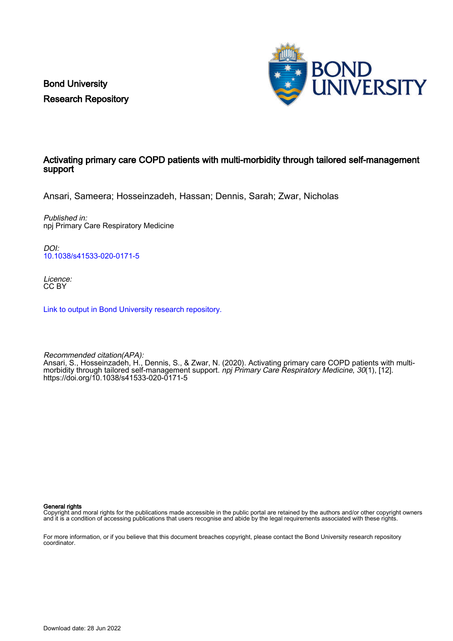Bond University Research Repository



## Activating primary care COPD patients with multi-morbidity through tailored self-management support

Ansari, Sameera; Hosseinzadeh, Hassan; Dennis, Sarah; Zwar, Nicholas

Published in: npj Primary Care Respiratory Medicine

DOI: [10.1038/s41533-020-0171-5](https://doi.org/10.1038/s41533-020-0171-5)

Licence: CC BY

[Link to output in Bond University research repository.](https://research.bond.edu.au/en/publications/f978f32d-d257-427d-b560-f71cf96e2eae)

Recommended citation(APA): Ansari, S., Hosseinzadeh, H., Dennis, S., & Zwar, N. (2020). Activating primary care COPD patients with multimorbidity through tailored self-management support. *npj Primary Care Respiratory Medicine*, 30(1), [12]. <https://doi.org/10.1038/s41533-020-0171-5>

General rights

Copyright and moral rights for the publications made accessible in the public portal are retained by the authors and/or other copyright owners and it is a condition of accessing publications that users recognise and abide by the legal requirements associated with these rights.

For more information, or if you believe that this document breaches copyright, please contact the Bond University research repository coordinator.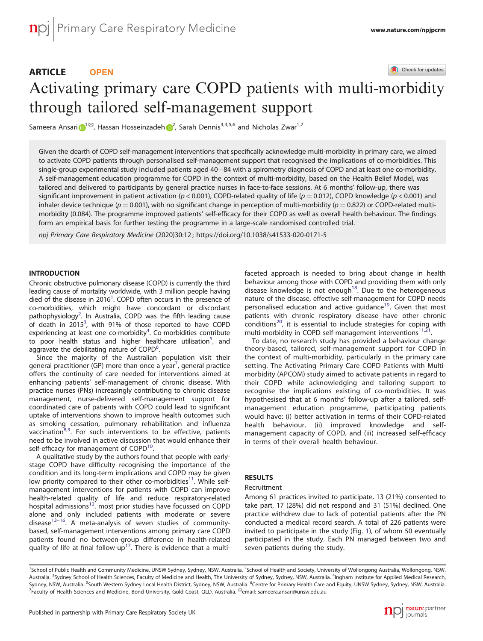# Check for updates ARTICLE **OPEN** Activating primary care COPD patients with multi-[m](http://crossmark.crossref.org/dialog/?doi=10.1038/s41533-020-0171-5&domain=pdf)orbidity through tailored self-management support

Sameera Ansari $\bigodot^{\!\!1\!1\!\!\!\!\!\otimes\mathcal I}$  $\bigodot^{\!\!1\!1\!\!\!\!\!\otimes\mathcal I}$  $\bigodot^{\!\!1\!1\!\!\!\!\!\otimes\mathcal I}$ , Hassan Hosseinzadeh $\bigodot^{\!\!2}$  $\bigodot^{\!\!2}$  $\bigodot^{\!\!2}$ , Sarah Dennis $^{3,4,5,6}$  and Nicholas Zwar $^{1,7}$ 

Given the dearth of COPD self-management interventions that specifically acknowledge multi-morbidity in primary care, we aimed to activate COPD patients through personalised self-management support that recognised the implications of co-morbidities. This single-group experimental study included patients aged 40−84 with a spirometry diagnosis of COPD and at least one co-morbidity. A self-management education programme for COPD in the context of multi-morbidity, based on the Health Belief Model, was tailored and delivered to participants by general practice nurses in face-to-face sessions. At 6 months' follow-up, there was significant improvement in patient activation ( $p < 0.001$ ), COPD-related quality of life ( $p = 0.012$ ), COPD knowledge ( $p < 0.001$ ) and inhaler device technique ( $p = 0.001$ ), with no significant change in perception of multi-morbidity ( $p = 0.822$ ) or COPD-related multimorbidity (0.084). The programme improved patients' self-efficacy for their COPD as well as overall health behaviour. The findings form an empirical basis for further testing the programme in a large-scale randomised controlled trial.

npj Primary Care Respiratory Medicine (2020) 30:12 ; https://doi.org/[10.1038/s41533-020-0171-5](https://doi.org/10.1038/s41533-020-0171-5)

## INTRODUCTION

Chronic obstructive pulmonary disease (COPD) is currently the third leading cause of mortality worldwide, with 3 million people having died of the disease in 2016<sup>1</sup>. COPD often occurs in the presence of co-morbidities, which might have concordant or discordant pathophysiology<sup>[2](#page-4-0)</sup>. In Australia, COPD was the fifth leading cause of death in 2015<sup>3</sup>, with 91% of those reported to have COPD experiencing at least one co-morbidity<sup>4</sup>. Co-morbidities contribute to poor health status and higher healthcare utilisation<sup>[5](#page-4-0)</sup>, and aggravate the debilitating nature of  $COPD<sup>6</sup>$ . .

Since the majority of the Australian population visit their general practitioner (GP) more than once a year<sup>[7](#page-4-0)</sup>, general practice offers the continuity of care needed for interventions aimed at enhancing patients' self-management of chronic disease. With practice nurses (PNs) increasingly contributing to chronic disease management, nurse-delivered self-management support for coordinated care of patients with COPD could lead to significant uptake of interventions shown to improve health outcomes such as smoking cessation, pulmonary rehabilitation and influenza vaccination<sup>[8,9](#page-5-0)</sup>. For such interventions to be effective, patients need to be involved in active discussion that would enhance their self-efficacy for management of COPD<sup>[10](#page-5-0)</sup>

A qualitative study by the authors found that people with earlystage COPD have difficulty recognising the importance of the condition and its long-term implications and COPD may be given low priority compared to their other co-morbidities<sup>[11](#page-5-0)</sup>. While selfmanagement interventions for patients with COPD can improve health-related quality of life and reduce respiratory-related hospital admissions<sup>12</sup>, most prior studies have focussed on COPD alone and only included patients with moderate or severe  $disease^{13-16}$  $disease^{13-16}$  $disease^{13-16}$  $disease^{13-16}$  $disease^{13-16}$ . A meta-analysis of seven studies of communitybased, self-management interventions among primary care COPD patients found no between-group difference in health-related quality of life at final follow-up<sup>[17](#page-5-0)</sup>. There is evidence that a multifaceted approach is needed to bring about change in health behaviour among those with COPD and providing them with only disease knowledge is not enough<sup>18</sup>. Due to the heterogeneous nature of the disease, effective self-management for COPD needs personalised education and active guidance<sup>19</sup>. Given that most patients with chronic respiratory disease have other chronic  $\text{conditions}^{20}$ , it is essential to include strategies for coping with multi-morbidity in COPD self-management interventions<sup>11,21</sup>.

To date, no research study has provided a behaviour change theory-based, tailored, self-management support for COPD in the context of multi-morbidity, particularly in the primary care setting. The Activating Primary Care COPD Patients with Multimorbidity (APCOM) study aimed to activate patients in regard to their COPD while acknowledging and tailoring support to recognise the implications existing of co-morbidities. It was hypothesised that at 6 months' follow-up after a tailored, selfmanagement education programme, participating patients would have: (i) better activation in terms of their COPD-related health behaviour, (ii) improved knowledge and selfmanagement capacity of COPD, and (iii) increased self-efficacy in terms of their overall health behaviour.

## RESULTS

## Recruitment

Among 61 practices invited to participate, 13 (21%) consented to take part, 17 (28%) did not respond and 31 (51%) declined. One practice withdrew due to lack of potential patients after the PN conducted a medical record search. A total of 226 patients were invited to participate in the study (Fig. [1](#page-2-0)), of whom 50 eventually participated in the study. Each PN managed between two and seven patients during the study.

<sup>&</sup>lt;sup>1</sup>School of Public Health and Community Medicine, UNSW Sydney, Sydney, NSW, Australia.<sup>2</sup>School of Health and Society, University of Wollongong Australia, Wollongong, NSW, Australia. <sup>3</sup>Sydney School of Health Sciences, Faculty of Medicine and Health, The University of Sydney, Sydney, NSW, Australia. <sup>4</sup>Ingham Institute for Applied Medical Research, Sydney, NSW, Australia. <sup>5</sup>South Western Sydney Local Health District, Sydney, NSW, Australia. <sup>6</sup>Centre for Primary Health Care and Equity, UNSW Sydney, Sydney, NSW, Australia. <sup>7</sup> Faculty of Health Sciences and Medicine, Bond University, Gold Coast, QLD, Australia. <sup>⊠</sup>email: [sameera.ansari@unsw.edu.au](mailto:sameera.ansari@unsw.edu.au)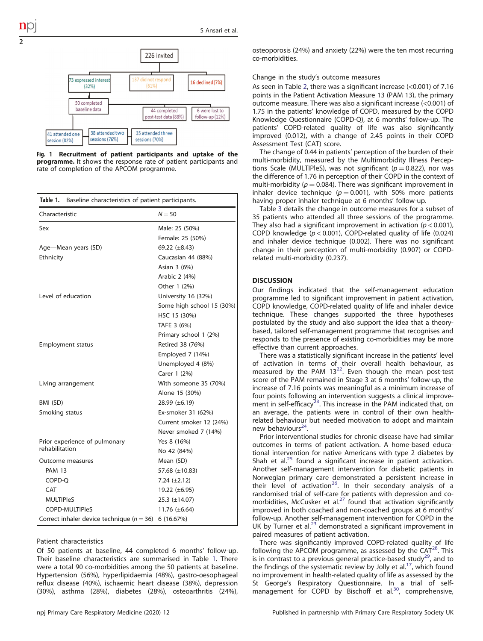

<span id="page-2-0"></span>2

Fig. 1 Recruitment of patient participants and uptake of the programme. It shows the response rate of patient participants and rate of completion of the APCOM programme.

| Table 1. Baseline characteristics of patient participants. |                           |  |  |  |
|------------------------------------------------------------|---------------------------|--|--|--|
| $N = 50$<br>Characteristic                                 |                           |  |  |  |
| Sex                                                        | Male: 25 (50%)            |  |  |  |
|                                                            | Female: 25 (50%)          |  |  |  |
| Age-Mean years (SD)                                        | 69.22 $(\pm 8.43)$        |  |  |  |
| Ethnicity                                                  | Caucasian 44 (88%)        |  |  |  |
|                                                            | Asian 3 (6%)              |  |  |  |
|                                                            | Arabic 2 (4%)             |  |  |  |
|                                                            | Other 1 (2%)              |  |  |  |
| Level of education                                         | University 16 (32%)       |  |  |  |
|                                                            | Some high school 15 (30%) |  |  |  |
|                                                            | HSC 15 (30%)              |  |  |  |
|                                                            | TAFE 3 (6%)               |  |  |  |
|                                                            | Primary school 1 (2%)     |  |  |  |
| <b>Employment status</b>                                   | Retired 38 (76%)          |  |  |  |
|                                                            | Employed 7 (14%)          |  |  |  |
|                                                            | Unemployed 4 (8%)         |  |  |  |
|                                                            | Carer 1 (2%)              |  |  |  |
| Living arrangement                                         | With someone 35 (70%)     |  |  |  |
|                                                            | Alone 15 (30%)            |  |  |  |
| BMI (SD)                                                   | 28.99 (±6.19)             |  |  |  |
| Smoking status                                             | Ex-smoker 31 (62%)        |  |  |  |
|                                                            | Current smoker 12 (24%)   |  |  |  |
|                                                            | Never smoked 7 (14%)      |  |  |  |
| Prior experience of pulmonary                              | Yes 8 (16%)               |  |  |  |
| rehabilitation                                             | No 42 (84%)               |  |  |  |
| Outcome measures                                           | Mean (SD)                 |  |  |  |
| <b>PAM 13</b>                                              | 57.68 (±10.83)            |  |  |  |
| COPD-O                                                     | 7.24 $(\pm 2.12)$         |  |  |  |
| CAT                                                        | 19.22 $(\pm 6.95)$        |  |  |  |
| <b>MULTIPIeS</b>                                           | 25.3 (±14.07)             |  |  |  |
| <b>COPD-MULTIPIeS</b>                                      | 11.76 $(\pm 6.64)$        |  |  |  |
| Correct inhaler device technique ( $n = 36$ ) 6 (16.67%)   |                           |  |  |  |

## Patient characteristics

Of 50 patients at baseline, 44 completed 6 months' follow-up. Their baseline characteristics are summarised in Table 1. There were a total 90 co-morbidities among the 50 patients at baseline. Hypertension (56%), hyperlipidaemia (48%), gastro-oesophageal reflux disease (40%), ischaemic heart disease (38%), depression (30%), asthma (28%), diabetes (28%), osteoarthritis (24%), osteoporosis (24%) and anxiety (22%) were the ten most recurring co-morbidities.

## Change in the study's outcome measures

As seen in Table [2,](#page-3-0) there was a significant increase (<0.001) of 7.16 points in the Patient Activation Measure 13 (PAM 13), the primary outcome measure. There was also a significant increase (<0.001) of 1.75 in the patients' knowledge of COPD, measured by the COPD Knowledge Questionnaire (COPD-Q), at 6 months' follow-up. The patients' COPD-related quality of life was also significantly improved (0.012), with a change of 2.45 points in their COPD Assessment Test (CAT) score.

The change of 0.44 in patients' perception of the burden of their multi-morbidity, measured by the Multimorbidity Illness Perceptions Scale (MULTIPleS), was not significant ( $p = 0.822$ ), nor was the difference of 1.76 in perception of their COPD in the context of multi-morbidity ( $p = 0.084$ ). There was significant improvement in inhaler device technique ( $p = 0.001$ ), with 50% more patients having proper inhaler technique at 6 months' follow-up.

Table [3](#page-3-0) details the change in outcome measures for a subset of 35 patients who attended all three sessions of the programme. They also had a significant improvement in activation ( $p < 0.001$ ), COPD knowledge ( $p < 0.001$ ), COPD-related quality of life (0.024) and inhaler device technique (0.002). There was no significant change in their perception of multi-morbidity (0.907) or COPDrelated multi-morbidity (0.237).

## **DISCUSSION**

Our findings indicated that the self-management education programme led to significant improvement in patient activation, COPD knowledge, COPD-related quality of life and inhaler device technique. These changes supported the three hypotheses postulated by the study and also support the idea that a theorybased, tailored self-management programme that recognises and responds to the presence of existing co-morbidities may be more effective than current approaches.

There was a statistically significant increase in the patients' level of activation in terms of their overall health behaviour, as<br>measured by the PAM 13<sup>22</sup>. Even though the mean post-test score of the PAM remained in Stage 3 at 6 months' follow-up, the increase of 7.16 points was meaningful as a minimum increase of four points following an intervention suggests a clinical improvement in self-efficacy<sup>23</sup>. This increase in the PAM indicated that, on an average, the patients were in control of their own healthrelated behaviour but needed motivation to adopt and maintain new behaviours $^{24}$  $^{24}$  $^{24}$ .

Prior interventional studies for chronic disease have had similar outcomes in terms of patient activation. A home-based educational intervention for native Americans with type 2 diabetes by Shah et al. $25$  found a significant increase in patient activation. Another self-management intervention for diabetic patients in Norwegian primary care demonstrated a persistent increase in their level of activation<sup>[26](#page-5-0)</sup>. In their secondary analysis of a randomised trial of self-care for patients with depression and co-morbidities, McCusker et al.<sup>[27](#page-5-0)</sup> found that activation significantly improved in both coached and non-coached groups at 6 months' follow-up. Another self-management intervention for COPD in the UK by Turner et al.<sup>[23](#page-5-0)</sup> demonstrated a significant improvement in paired measures of patient activation.

There was significantly improved COPD-related quality of life following the APCOM programme, as assessed by the  $CAT<sup>28</sup>$ . This is in contrast to a previous general practice-based study<sup>[29](#page-5-0)</sup>, and to the findings of the systematic review by Jolly et al.<sup>17</sup>, which found no improvement in health-related quality of life as assessed by the St George's Respiratory Questionnaire. In a trial of self-management for COPD by Bischoff et al.<sup>[30](#page-5-0)</sup>, comprehensive,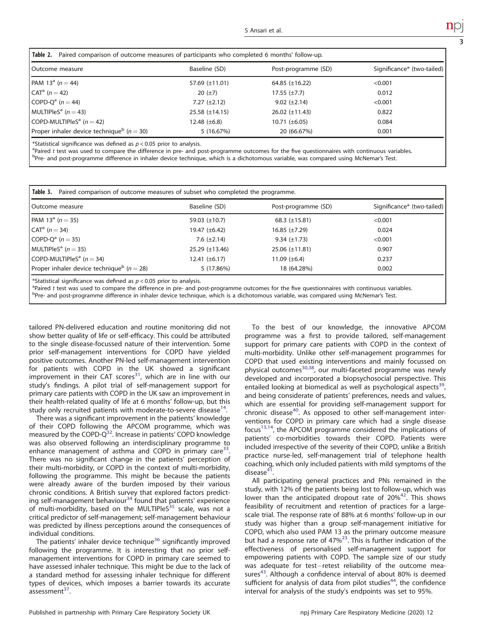3

| Outcome measure                          | Baseline (SD)         | Post-programme (SD)   | Significance* (two-tailed) |
|------------------------------------------|-----------------------|-----------------------|----------------------------|
| PAM 13 <sup>a</sup> ( $n = 44$ )         | 57.69 $(\pm 11.01)$   | 64.85 $(\pm 16.22)$   | < 0.001                    |
| CAT <sup>a</sup> $(n=42)$                | $20 (\pm 7)$          | $17.55 \ (\pm 7.7)$   | 0.012                      |
| COPD-Q <sup>a</sup> ( $n = 44$ )         | $7.27 (\pm 2.12)$     | $9.02 \ (\pm 2.14)$   | < 0.001                    |
| MULTIPleS <sup>a</sup> ( $n = 43$ )      | $25.58 \ (\pm 14.15)$ | $26.02 \ (\pm 11.43)$ | 0.822                      |
| COPD-MULTIPleS <sup>a</sup> ( $n = 42$ ) | 12.48 $(\pm 6.8)$     | $10.71 \ (\pm 6.05)$  | 0.084                      |

Proper inhaler device technique<sup>b</sup>  $(n = 30)$  5 (16.67%) 20 (66.67%) 20 (60.67%)

<span id="page-3-0"></span>Table 2. Paired comparison of outcome measures of participants who completed 6 months' follow-up.

\*Statistical significance was defined as  $p < 0.05$  prior to analysis.

<sup>a</sup>Paired t test was used to compare the difference in pre- and post-programme outcomes for the five questionnaires with continuous variables. <sup>b</sup>Pre- and post-programme difference in inhaler device technique, which is a dichotomous variable, was compared using McNemar's Test.

| Table 3.<br>Paired comparison of outcome measures of subset who completed the programme. |                    |                      |                            |  |  |
|------------------------------------------------------------------------------------------|--------------------|----------------------|----------------------------|--|--|
| Outcome measure                                                                          | Baseline (SD)      | Post-programme (SD)  | Significance* (two-tailed) |  |  |
| $PAM 13a (n = 35)$                                                                       | 59.03 $(\pm 10.7)$ | 68.3 $(\pm 15.81)$   | < 0.001                    |  |  |
| $\mathsf{CAT}^{\mathsf{a}}$ (n = 34)                                                     | 19.47 $(\pm 6.42)$ | $16.85 \ (\pm 7.29)$ | 0.024                      |  |  |
| COPD-Q <sup>a</sup> ( $n = 35$ )                                                         | 7.6 $(\pm 2.14)$   | $9.34 \ (\pm 1.73)$  | < 0.001                    |  |  |
| MULTIPleS <sup>a</sup> ( $n = 35$ )                                                      | $25.29$ (±13.46)   | $25.06 (\pm 11.81)$  | 0.907                      |  |  |
| COPD-MULTIPleS <sup>a</sup> ( $n = 34$ )                                                 | $12.41 (\pm 6.17)$ | 11.09 $(\pm 6.4)$    | 0.237                      |  |  |
| Proper inhaler device technique $(n = 28)$                                               | 5 (17.86%)         | 18 (64.28%)          | 0.002                      |  |  |

\*Statistical significance was defined as  $p < 0.05$  prior to analysis.

<sup>a</sup>Paired t test was used to compare the difference in pre- and post-programme outcomes for the five questionnaires with continuous variables.

Pre- and post-programme difference in inhaler device technique, which is a dichotomous variable, was compared using McNemar's Test.

tailored PN-delivered education and routine monitoring did not show better quality of life or self-efficacy. This could be attributed to the single disease-focussed nature of their intervention. Some prior self-management interventions for COPD have yielded positive outcomes. Another PN-led self-management intervention for patients with COPD in the UK showed a significant improvement in their CAT scores $31$ , which are in line with our study's findings. A pilot trial of self-management support for primary care patients with COPD in the UK saw an improvement in their health-related quality of life at 6 months' follow-up, but this study only recruited patients with moderate-to-severe disease<sup>14</sup>.

There was a significant improvement in the patients' knowledge of their COPD following the APCOM programme, which was measured by the COPD-Q<sup>32</sup>. Increase in patients' COPD knowledge was also observed following an interdisciplinary programme to enhance management of asthma and COPD in primary care<sup>[33](#page-5-0)</sup>. There was no significant change in the patients' perception of their multi-morbidity, or COPD in the context of multi-morbidity, following the programme. This might be because the patients were already aware of the burden imposed by their various chronic conditions. A British survey that explored factors predicting self-management behaviour<sup>34</sup> found that patients' experience of multi-morbidity, based on the MULTIPle $S^{35}$  $S^{35}$  $S^{35}$  scale, was not a critical predictor of self-management; self-management behaviour was predicted by illness perceptions around the consequences of individual conditions.

The patients' inhaler device technique<sup>[36](#page-5-0)</sup> significantly improved following the programme. It is interesting that no prior selfmanagement interventions for COPD in primary care seemed to have assessed inhaler technique. This might be due to the lack of a standard method for assessing inhaler technique for different types of devices, which imposes a barrier towards its accurate assessment $37$ .

To the best of our knowledge, the innovative APCOM programme was a first to provide tailored, self-management support for primary care patients with COPD in the context of multi-morbidity. Unlike other self-management programmes for COPD that used existing interventions and mainly focussed on physical outcomes $30,38$  $30,38$ , our multi-faceted programme was newly developed and incorporated a biopsychosocial perspective. This entailed looking at biomedical as well as psychological aspects<sup>[39](#page-5-0)</sup>, and being considerate of patients' preferences, needs and values, which are essential for providing self-management support for chronic disease<sup>[40](#page-5-0)</sup>. As opposed to other self-management interventions for COPD in primary care which had a single disease focus<sup>13,14</sup>, the APCOM programme considered the implications of patients' co-morbidities towards their COPD. Patients were included irrespective of the severity of their COPD, unlike a British practice nurse-led, self-management trial of telephone health coaching, which only included patients with mild symptoms of the disease<sup>4</sup>

All participating general practices and PNs remained in the study, with 12% of the patients being lost to follow-up, which was lower than the anticipated dropout rate of  $20\%^{42}$ . This shows feasibility of recruitment and retention of practices for a largescale trial. The response rate of 88% at 6 months' follow-up in our study was higher than a group self-management initiative for COPD, which also used PAM 13 as the primary outcome measure but had a response rate of  $47\%^{23}$ . This is further indication of the effectiveness of personalised self-management support for empowering patients with COPD. The sample size of our study was adequate for test−retest reliability of the outcome mea-sures<sup>[43](#page-5-0)</sup>. Although a confidence interval of about 80% is deemed sufficient for analysis of data from pilot studies $44$ , the confidence interval for analysis of the study's endpoints was set to 95%.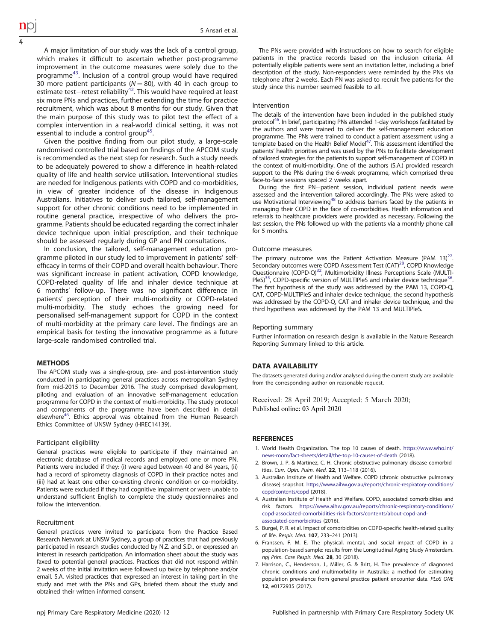<span id="page-4-0"></span>A major limitation of our study was the lack of a control group, which makes it difficult to ascertain whether post-programme improvement in the outcome measures were solely due to the programme[43.](#page-5-0) Inclusion of a control group would have required 30 more patient participants ( $N = 80$ ), with 40 in each group to estimate test−retest reliability<sup>[42](#page-5-0)</sup>. This would have required at least six more PNs and practices, further extending the time for practice recruitment, which was about 8 months for our study. Given that the main purpose of this study was to pilot test the effect of a complex intervention in a real-world clinical setting, it was not essential to include a control group<sup>45</sup>.

Given the positive finding from our pilot study, a large-scale randomised controlled trial based on findings of the APCOM study is recommended as the next step for research. Such a study needs to be adequately powered to show a difference in health-related quality of life and health service utilisation. Interventional studies are needed for Indigenous patients with COPD and co-morbidities, in view of greater incidence of the disease in Indigenous Australians. Initiatives to deliver such tailored, self-management support for other chronic conditions need to be implemented in routine general practice, irrespective of who delivers the programme. Patients should be educated regarding the correct inhaler device technique upon initial prescription, and their technique should be assessed regularly during GP and PN consultations.

In conclusion, the tailored, self-management education programme piloted in our study led to improvement in patients' selfefficacy in terms of their COPD and overall health behaviour. There was significant increase in patient activation, COPD knowledge, COPD-related quality of life and inhaler device technique at 6 months' follow-up. There was no significant difference in patients' perception of their multi-morbidity or COPD-related multi-morbidity. The study echoes the growing need for personalised self-management support for COPD in the context of multi-morbidity at the primary care level. The findings are an empirical basis for testing the innovative programme as a future large-scale randomised controlled trial.

## **METHODS**

The APCOM study was a single-group, pre- and post-intervention study conducted in participating general practices across metropolitan Sydney from mid-2015 to December 2016. The study comprised development, piloting and evaluation of an innovative self-management education programme for COPD in the context of multi-morbidity. The study protocol and components of the programme have been described in detail elsewhere<sup>[46](#page-5-0)</sup>. Ethics approval was obtained from the Human Research Ethics Committee of UNSW Sydney (HREC14139).

#### Participant eligibility

General practices were eligible to participate if they maintained an electronic database of medical records and employed one or more PN. Patients were included if they: (i) were aged between 40 and 84 years, (ii) had a record of spirometry diagnosis of COPD in their practice notes and (iii) had at least one other co-existing chronic condition or co-morbidity. Patients were excluded if they had cognitive impairment or were unable to understand sufficient English to complete the study questionnaires and follow the intervention.

#### Recruitment

General practices were invited to participate from the Practice Based Research Network at UNSW Sydney, a group of practices that had previously participated in research studies conducted by N.Z. and S.D., or expressed an interest in research participation. An information sheet about the study was faxed to potential general practices. Practices that did not respond within 2 weeks of the initial invitation were followed up twice by telephone and/or email. S.A. visited practices that expressed an interest in taking part in the study and met with the PNs and GPs, briefed them about the study and obtained their written informed consent.

The PNs were provided with instructions on how to search for eligible patients in the practice records based on the inclusion criteria. All potentially eligible patients were sent an invitation letter, including a brief description of the study. Non-responders were reminded by the PNs via telephone after 2 weeks. Each PN was asked to recruit five patients for the study since this number seemed feasible to all.

#### Intervention

The details of the intervention have been included in the published study protocol<sup>46</sup>. In brief, participating PNs attended 1-day workshops facilitated by the authors and were trained to deliver the self-management education programme. The PNs were trained to conduct a patient assessment using a  $t$ emplate based on the Health Belief Model<sup>47</sup>. This assessment identified the patients' health priorities and was used by the PNs to facilitate development of tailored strategies for the patients to support self-management of COPD in the context of multi-morbidity. One of the authors (S.A.) provided research support to the PNs during the 6-week programme, which comprised three face-to-face sessions spaced 2 weeks apart.

During the first PN−patient session, individual patient needs were assessed and the intervention tailored accordingly. The PNs were asked to use Motivational Interviewing $48$  to address barriers faced by the patients in managing their COPD in the face of co-morbidities. Health information and referrals to healthcare providers were provided as necessary. Following the last session, the PNs followed up with the patients via a monthly phone call for 5 months.

#### Outcome measures

The primary outcome was the Patient Activation Measure (PAM 13)<sup>22</sup>. Secondary outcomes were COPD Assessment Test (CAT)<sup>28</sup>, COPD Knowledge Questionnaire (COPD-Q)<sup>[32](#page-5-0)</sup>, Multimorbidity Illness Perceptions Scale (MULTI-PleS)<sup>35</sup>, COPD-specific version of MULTIPleS and inhaler device technique<sup>36</sup>. The first hypothesis of the study was addressed by the PAM 13, COPD-Q, CAT, COPD-MULTIPleS and inhaler device technique, the second hypothesis was addressed by the COPD-Q, CAT and inhaler device technique, and the third hypothesis was addressed by the PAM 13 and MULTIPleS.

#### Reporting summary

Further information on research design is available in the Nature Research Reporting Summary linked to this article.

## DATA AVAILABILITY

The datasets generated during and/or analysed during the current study are available from the corresponding author on reasonable request.

Received: 28 April 2019; Accepted: 5 March 2020; Published online: 03 April 2020

## **REFERENCES**

- 1. World Health Organization. The top 10 causes of death. [https://www.who.int/](https://www.who.int/news-room/fact-sheets/detail/the-top-10-causes-of-death) [news-room/fact-sheets/detail/the-top-10-causes-of-death](https://www.who.int/news-room/fact-sheets/detail/the-top-10-causes-of-death) (2018).
- 2. Brown, J. P. & Martinez, C. H. Chronic obstructive pulmonary disease comorbidities. Curr. Opin. Pulm. Med. 22, 113–118 (2016).
- 3. Australian Institute of Health and Welfare. COPD (chronic obstructive pulmonary disease) snapshot. [https://www.aihw.gov.au/reports/chronic-respiratory-conditions/](https://www.aihw.gov.au/reports/chronic-respiratory-conditions/copd/contents/copd) [copd/contents/copd](https://www.aihw.gov.au/reports/chronic-respiratory-conditions/copd/contents/copd) (2018).
- 4. Australian Institute of Health and Welfare. COPD, associated comorbidities and risk factors. [https://www.aihw.gov.au/reports/chronic-respiratory-conditions/](https://www.aihw.gov.au/reports/chronic-respiratory-conditions/copd-associated-comorbidities-risk-factors/contents/about-copd-and-associated-comorbidities) [copd-associated-comorbidities-risk-factors/contents/about-copd-and](https://www.aihw.gov.au/reports/chronic-respiratory-conditions/copd-associated-comorbidities-risk-factors/contents/about-copd-and-associated-comorbidities)[associated-comorbidities](https://www.aihw.gov.au/reports/chronic-respiratory-conditions/copd-associated-comorbidities-risk-factors/contents/about-copd-and-associated-comorbidities) (2016).
- 5. Burgel, P. R. et al. Impact of comorbidities on COPD-specific health-related quality of life. Respir. Med. 107, 233–241 (2013).
- 6. Franssen, F. M. E. The physical, mental, and social impact of COPD in a population-based sample: results from the Longitudinal Aging Study Amsterdam. npj Prim. Care Respir. Med. 28, 30 (2018).
- 7. Harrison, C., Henderson, J., Miller, G. & Britt, H. The prevalence of diagnosed chronic conditions and multimorbidity in Australia: a method for estimating population prevalence from general practice patient encounter data. PLoS ONE 12, e0172935 (2017).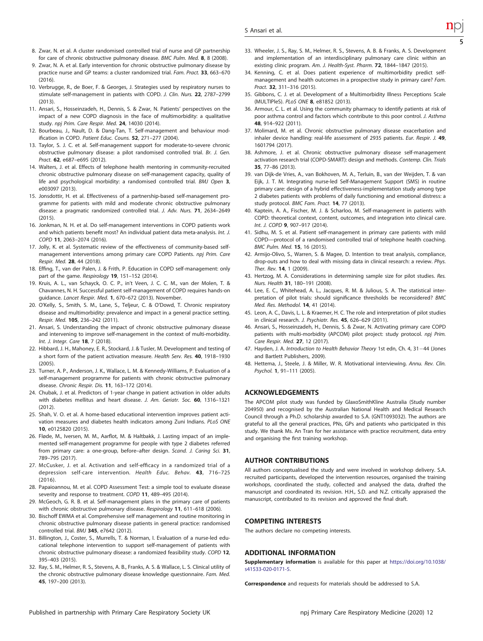- <span id="page-5-0"></span>8. Zwar, N. et al. A cluster randomised controlled trial of nurse and GP partnership for care of chronic obstructive pulmonary disease. BMC Pulm. Med. 8, 8 (2008).
- 9. Zwar, N. A. et al. Early intervention for chronic obstructive pulmonary disease by practice nurse and GP teams: a cluster randomized trial. Fam. Pract. 33, 663–670  $(2016)$
- 10. Verbrugge, R., de Boer, F. & Georges, J. Strategies used by respiratory nurses to stimulate self-management in patients with COPD. J. Clin. Nurs. 22, 2787–2799 (2013).
- 11. Ansari, S., Hosseinzadeh, H., Dennis, S. & Zwar, N. Patients' perspectives on the impact of a new COPD diagnosis in the face of multimorbidity: a qualitative study. npj Prim. Care Respir. Med. 24, 14030 (2014).
- 12. Bourbeau, J., Nault, D. & Dang-Tan, T. Self-management and behaviour modification in COPD. Patient Educ. Couns. 52, 271–277 (2004).
- 13. Taylor, S. J. C. et al. Self-management support for moderate-to-severe chronic obstructive pulmonary disease: a pilot randomised controlled trial. Br. J. Gen. Pract. 62, e687–e695 (2012).
- 14. Walters, J. et al. Effects of telephone health mentoring in community-recruited chronic obstructive pulmonary disease on self-management capacity, quality of life and psychological morbidity: a randomised controlled trial. BMJ Open 3, e003097 (2013).
- 15. Jonsdottir, H. et al. Effectiveness of a partnership-based self-management programme for patients with mild and moderate chronic obstructive pulmonary disease: a pragmatic randomized controlled trial. J. Adv. Nurs. 71, 2634–2649 (2015).
- 16. Jonkman, N. H. et al. Do self-management interventions in COPD patients work and which patients benefit most? An individual patient data meta-analysis. Int. J. COPD 11, 2063–2074 (2016).
- 17. Jolly, K. et al. Systematic review of the effectiveness of community-based selfmanagement interventions among primary care COPD Patients. npj Prim. Care Respir. Med. 28, 44 (2018).
- 18. Effing, T., van der Palen, J. & Frith, P. Education in COPD self-management: only part of the game. Respirology 19, 151-152 (2014).
- 19. Kruis, A. L., van Schayck, O. C. P., in't Veen, J. C. C. M., van der Molen, T. & Chavannes, N. H. Successful patient self-management of COPD requires hands-on guidance. Lancet Respir. Med. 1, 670–672 (2013). November.
- 20. O'Kelly, S., Smith, S. M., Lane, S., Teljeur, C. & O'Dowd, T. Chronic respiratory disease and multimorbidity: prevalence and impact in a general practice setting. Respir. Med. 105, 236–242 (2011).
- 21. Ansari, S. Understanding the impact of chronic obstructive pulmonary disease and intervening to improve self-management in the context of multi-morbidity. Int. J. Integr. Care 18, 7 (2018).
- 22. Hibbard, J. H., Mahoney, E. R., Stockard, J. & Tusler, M. Development and testing of a short form of the patient activation measure. Health Serv. Res. 40, 1918–1930  $(2005)$
- 23. Turner, A. P., Anderson, J. K., Wallace, L. M. & Kennedy-Williams, P. Evaluation of a self-management programme for patients with chronic obstructive pulmonary disease. Chronic Respir. Dis. 11, 163–172 (2014).
- 24. Chubak, J. et al. Predictors of 1-year change in patient activation in older adults with diabetes mellitus and heart disease. J. Am. Geriatr. Soc. 60, 1316-1321  $(2012)$
- 25. Shah, V. O. et al. A home-based educational intervention improves patient activation measures and diabetes health indicators among Zuni Indians. PLoS ONE 10, e0125820 (2015).
- 26. Fløde, M., Iversen, M. M., Aarflot, M. & Haltbakk, J. Lasting impact of an implemented self-management programme for people with type 2 diabetes referred from primary care: a one-group, before-after design. Scand. J. Caring Sci. 31, 789–795 (2017).
- 27. McCusker, J. et al. Activation and self-efficacy in a randomized trial of a depression self-care intervention. Health Educ. Behav. 43, 716–725 (2016).
- 28. Papaioannou, M. et al. COPD Assessment Test: a simple tool to evaluate disease severity and response to treatment. COPD 11, 489-495 (2014).
- 29. McGeoch, G. R. B. et al. Self-management plans in the primary care of patients with chronic obstructive pulmonary disease. Respirology 11, 611-618 (2006).
- 30. Bischoff EWMA et al. Comprehensive self management and routine monitoring in chronic obstructive pulmonary disease patients in general practice: randomised controlled trial. BMJ 345, e7642 (2012).
- 31. Billington, J., Coster, S., Murrells, T. & Norman, I. Evaluation of a nurse-led educational telephone intervention to support self-management of patients with chronic obstructive pulmonary disease: a randomized feasibility study. COPD 12, 395–403 (2015).
- 32. Ray, S. M., Helmer, R. S., Stevens, A. B., Franks, A. S. & Wallace, L. S. Clinical utility of the chronic obstructive pulmonary disease knowledge questionnaire. Fam. Med. 45, 197–200 (2013).
- 33. Wheeler, J. S., Ray, S. M., Helmer, R. S., Stevens, A. B. & Franks, A. S. Development and implementation of an interdisciplinary pulmonary care clinic within an existing clinic program. Am. J. Health-Syst. Pharm. 72, 1844-1847 (2015).
- 34. Kenning, C. et al. Does patient experience of multimorbidity predict selfmanagement and health outcomes in a prospective study in primary care? Fam. Pract. 32, 311–316 (2015).
- 35. Gibbons, C. J. et al. Development of a Multimorbidity Illness Perceptions Scale (MULTIPleS). PLoS ONE 8, e81852 (2013).
- 36. Armour, C. L. et al. Using the community pharmacy to identify patients at risk of poor asthma control and factors which contribute to this poor control. J. Asthma 48, 914–922 (2011).
- 37. Molimard, M. et al. Chronic obstructive pulmonary disease exacerbation and inhaler device handling: real-life assessment of 2935 patients. Eur. Respir. J. 49, 1601794 (2017).
- 38. Ashmore, J. et al. Chronic obstructive pulmonary disease self-management activation research trial (COPD-SMART): design and methods. Contemp. Clin. Trials 35, 77–86 (2013).
- 39. van Dijk-de Vries, A., van Bokhoven, M. A., Terluin, B., van der Weijden, T. & van Eijk, J. T. M. Integrating nurse-led Self-Management Support (SMS) in routine primary care: design of a hybrid effectiveness-implementation study among type 2 diabetes patients with problems of daily functioning and emotional distress: a study protocol. BMC Fam. Pract. 14, 77 (2013).
- 40. Kaptein, A. A., Fischer, M. J. & Scharloo, M. Self-management in patients with COPD: theoretical context, content, outcomes, and integration into clinical care. Int. J. COPD 9, 907-917 (2014).
- 41. Sidhu, M. S. et al. Patient self-management in primary care patients with mild COPD—protocol of a randomised controlled trial of telephone health coaching. BMC Pulm. Med. 15, 16 (2015).
- 42. Armijo-Olivo, S., Warren, S. & Magee, D. Intention to treat analysis, compliance, drop-outs and how to deal with missing data in clinical research: a review. Phys. Ther. Rev. 14, 1 (2009).
- 43. Hertzog, M. A. Considerations in determining sample size for pilot studies. Res. Nurs. Health 31, 180–191 (2008).
- 44. Lee, E. C., Whitehead, A. L., Jacques, R. M. & Julious, S. A. The statistical interpretation of pilot trials: should significance thresholds be reconsidered? BMC Med. Res. Methodol. 14, 41 (2014).
- 45. Leon, A. C., Davis, L. L. & Kraemer, H. C. The role and interpretation of pilot studies in clinical research. J. Psychiatr. Res. 45, 626–629 (2011).
- 46. Ansari, S., Hosseinzadeh, H., Dennis, S. & Zwar, N. Activating primary care COPD patients with multi-morbidity (APCOM) pilot project: study protocol. npj Prim. Care Respir. Med. 27, 12 (2017).
- 47. Hayden, J. A. Introduction to Health Behavior Theory 1st edn, Ch. 4, 31−44 (Jones and Bartlett Publishers, 2009).
- 48. Hettema, J., Steele, J. & Miller, W. R. Motivational interviewing. Annu. Rev. Clin. Psychol. 1, 91–111 (2005).

## ACKNOWLEDGEMENTS

The APCOM pilot study was funded by GlaxoSmithKline Australia (Study number 204950) and recognised by the Australian National Health and Medical Research Council through a Ph.D. scholarship awarded to S.A. (GNT1093032). The authors are grateful to all the general practices, PNs, GPs and patients who participated in this study. We thank Ms. An Tran for her assistance with practice recruitment, data entry and organising the first training workshop.

## AUTHOR CONTRIBUTIONS

All authors conceptualised the study and were involved in workshop delivery. S.A. recruited participants, developed the intervention resources, organised the training workshops, coordinated the study, collected and analysed the data, drafted the manuscript and coordinated its revision. H.H., S.D. and N.Z. critically appraised the manuscript, contributed to its revision and approved the final draft.

## COMPETING INTERESTS

The authors declare no competing interests.

## ADDITIONAL INFORMATION

Supplementary information is available for this paper at [https://doi.org/10.1038/](https://doi.org/10.1038/s41533-020-0171-5) [s41533-020-0171-5](https://doi.org/10.1038/s41533-020-0171-5).

Correspondence and requests for materials should be addressed to S.A.